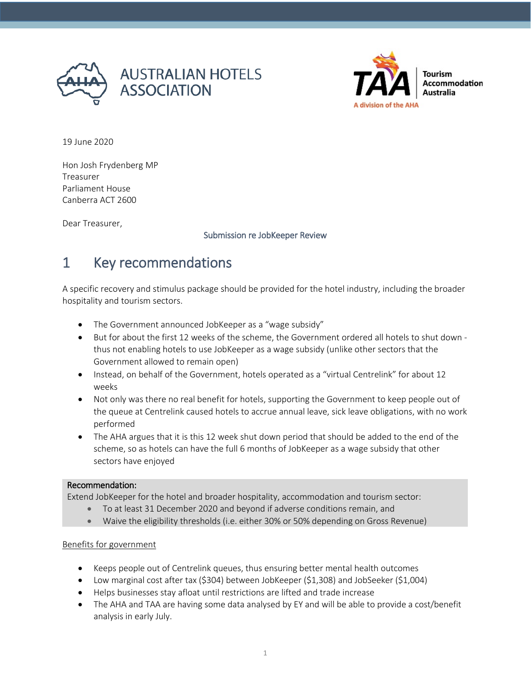



19 June 2020

Hon Josh Frydenberg MP Treasurer Parliament House Canberra ACT 2600

Dear Treasurer,

#### Submission re JobKeeper Review

# 1 Key recommendations

A specific recovery and stimulus package should be provided for the hotel industry, including the broader hospitality and tourism sectors.

- The Government announced JobKeeper as a "wage subsidy"
- But for about the first 12 weeks of the scheme, the Government ordered all hotels to shut down thus not enabling hotels to use JobKeeper as a wage subsidy (unlike other sectors that the Government allowed to remain open)
- Instead, on behalf of the Government, hotels operated as a "virtual Centrelink" for about 12 weeks
- Not only was there no real benefit for hotels, supporting the Government to keep people out of the queue at Centrelink caused hotels to accrue annual leave, sick leave obligations, with no work performed
- The AHA argues that it is this 12 week shut down period that should be added to the end of the scheme, so as hotels can have the full 6 months of JobKeeper as a wage subsidy that other sectors have enjoyed

#### Recommendation:

Extend JobKeeper for the hotel and broader hospitality, accommodation and tourism sector:

- To at least 31 December 2020 and beyond if adverse conditions remain, and
- Waive the eligibility thresholds (i.e. either 30% or 50% depending on Gross Revenue)

#### Benefits for government

- Keeps people out of Centrelink queues, thus ensuring better mental health outcomes
- Low marginal cost after tax (\$304) between JobKeeper (\$1,308) and JobSeeker (\$1,004)
- Helps businesses stay afloat until restrictions are lifted and trade increase
- The AHA and TAA are having some data analysed by EY and will be able to provide a cost/benefit analysis in early July.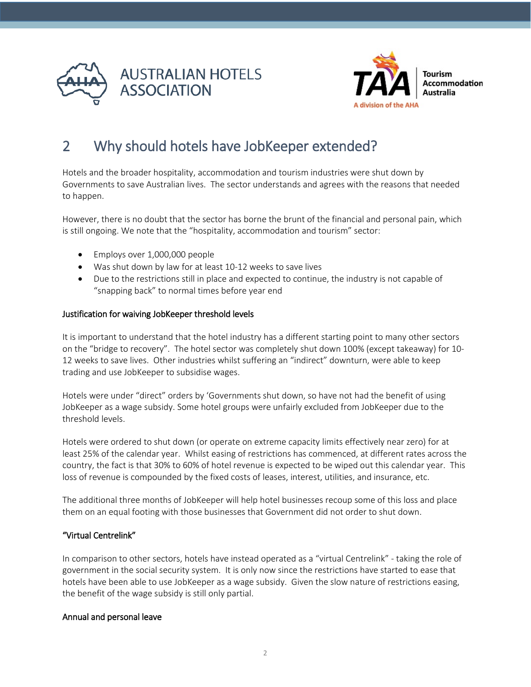



# 2 Why should hotels have JobKeeper extended?

Hotels and the broader hospitality, accommodation and tourism industries were shut down by Governments to save Australian lives. The sector understands and agrees with the reasons that needed to happen.

However, there is no doubt that the sector has borne the brunt of the financial and personal pain, which is still ongoing. We note that the "hospitality, accommodation and tourism" sector:

- Employs over 1,000,000 people
- Was shut down by law for at least 10-12 weeks to save lives
- Due to the restrictions still in place and expected to continue, the industry is not capable of "snapping back" to normal times before year end

#### Justification for waiving JobKeeper threshold levels

It is important to understand that the hotel industry has a different starting point to many other sectors on the "bridge to recovery". The hotel sector was completely shut down 100% (except takeaway) for 10- 12 weeks to save lives. Other industries whilst suffering an "indirect" downturn, were able to keep trading and use JobKeeper to subsidise wages.

Hotels were under "direct" orders by 'Governments shut down, so have not had the benefit of using JobKeeper as a wage subsidy. Some hotel groups were unfairly excluded from JobKeeper due to the threshold levels.

Hotels were ordered to shut down (or operate on extreme capacity limits effectively near zero) for at least 25% of the calendar year. Whilst easing of restrictions has commenced, at different rates across the country, the fact is that 30% to 60% of hotel revenue is expected to be wiped out this calendar year. This loss of revenue is compounded by the fixed costs of leases, interest, utilities, and insurance, etc.

The additional three months of JobKeeper will help hotel businesses recoup some of this loss and place them on an equal footing with those businesses that Government did not order to shut down.

#### "Virtual Centrelink"

In comparison to other sectors, hotels have instead operated as a "virtual Centrelink" - taking the role of government in the social security system. It is only now since the restrictions have started to ease that hotels have been able to use JobKeeper as a wage subsidy. Given the slow nature of restrictions easing, the benefit of the wage subsidy is still only partial.

#### Annual and personal leave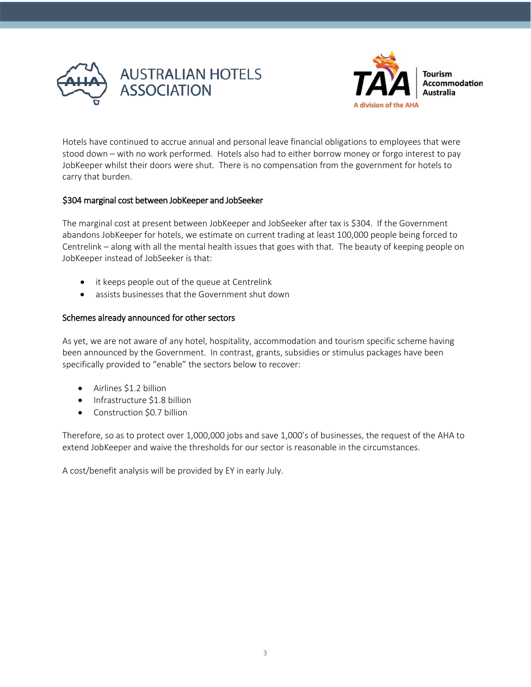



Hotels have continued to accrue annual and personal leave financial obligations to employees that were stood down – with no work performed. Hotels also had to either borrow money or forgo interest to pay JobKeeper whilst their doors were shut. There is no compensation from the government for hotels to carry that burden.

#### \$304 marginal cost between JobKeeper and JobSeeker

The marginal cost at present between JobKeeper and JobSeeker after tax is \$304. If the Government abandons JobKeeper for hotels, we estimate on current trading at least 100,000 people being forced to Centrelink – along with all the mental health issues that goes with that. The beauty of keeping people on JobKeeper instead of JobSeeker is that:

- it keeps people out of the queue at Centrelink
- assists businesses that the Government shut down

#### Schemes already announced for other sectors

As yet, we are not aware of any hotel, hospitality, accommodation and tourism specific scheme having been announced by the Government. In contrast, grants, subsidies or stimulus packages have been specifically provided to "enable" the sectors below to recover:

- Airlines \$1.2 billion
- Infrastructure \$1.8 billion
- Construction \$0.7 billion

Therefore, so as to protect over 1,000,000 jobs and save 1,000's of businesses, the request of the AHA to extend JobKeeper and waive the thresholds for our sector is reasonable in the circumstances.

A cost/benefit analysis will be provided by EY in early July.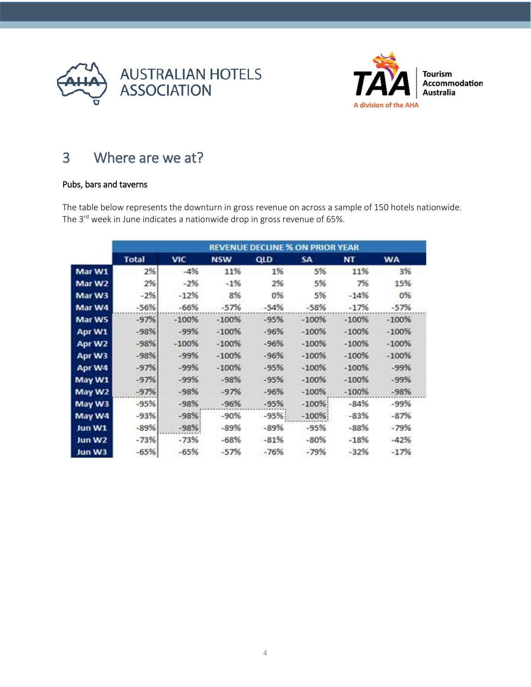



# 3 Where are we at?

#### Pubs, bars and taverns

The table below represents the downturn in gross revenue on across a sample of 150 hotels nationwide. The 3<sup>rd</sup> week in June indicates a nationwide drop in gross revenue of 65%.

|        | <b>REVENUE DECLINE % ON PRIOR YEAR</b> |            |            |        |           |         |           |
|--------|----------------------------------------|------------|------------|--------|-----------|---------|-----------|
|        | <b>Total</b>                           | <b>VIC</b> | <b>NSW</b> | QLD    | <b>SA</b> | NT      | <b>WA</b> |
| Mar W1 | 2%                                     | $-4%$      | 11%        | 1%     | 5%        | 11%     | 3%        |
| Mar W2 | 2%                                     | $-2%$      | $-1%$      | 2%     | 5%        | 7%      | 15%       |
| Mar W3 | $-2%$                                  | $-12%$     | 8%         | 0%     | 5%        | $-14%$  | 0%        |
| Mar W4 | $-56%$                                 | $-66%$     | $-57%$     | $-54%$ | $-58%$    | $-17%$  | $-57%$    |
| Mar W5 | $-97%$                                 | $-100%$    | $-100%$    | $-95%$ | $-100%$   | $-100%$ | $-100%$   |
| Apr W1 | $-98%$                                 | $-99%$     | $-100%$    | $-96%$ | $-100%$   | $-100%$ | $-100%$   |
| Apr W2 | $-98%$                                 | $-100%$    | $-100%$    | $-96%$ | $-100%$   | $-100%$ | $-100%$   |
| Apr W3 | $-98%$                                 | $-99%$     | $-100%$    | $-96%$ | $-100%$   | $-100%$ | $-100%$   |
| Apr W4 | $-97%$                                 | $-99%$     | $-100%$    | $-95%$ | $-100%$   | $-100%$ | $-99%$    |
| May W1 | $-97%$                                 | $-99%$     | $-98%$     | $-95%$ | $-100%$   | $-100%$ | $-99%$    |
| May W2 | $-97%$                                 | $-98%$     | $-97%$     | $-96%$ | $-100%$   | $-100%$ | $-98%$    |
| May W3 | $-95%$                                 | $-98%$     | $-96%$     | $-95%$ | $-100%$   | $-84%$  | $-99%$    |
| May W4 | $-93%$                                 | $-98%$     | $-90%$     | $-95%$ | $-100%$   | $-83%$  | $-87%$    |
| Jun W1 | $-89%$                                 | $-98%$     | $-89%$     | $-89%$ | $-95%$    | $-88%$  | $-79%$    |
| Jun W2 | $-73%$                                 | $-73%$     | $-68%$     | $-81%$ | $-80%$    | $-18%$  | $-42%$    |
| Jun W3 | $-65%$                                 | $-65%$     | $-57%$     | $-76%$ | $-79%$    | $-32%$  | $-17%$    |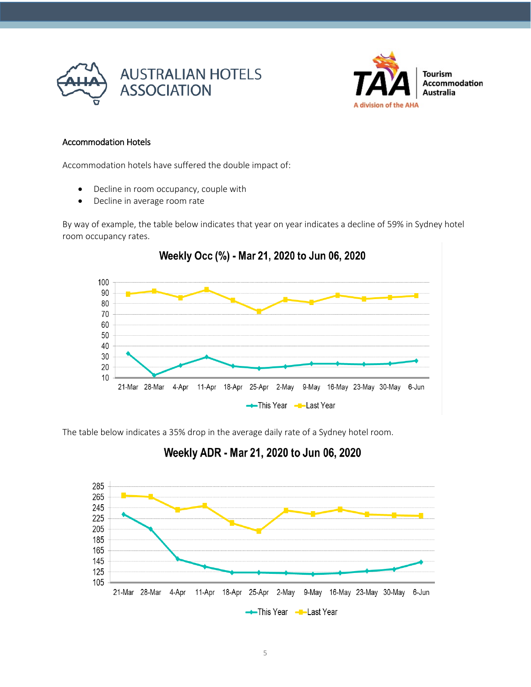



#### Accommodation Hotels

Accommodation hotels have suffered the double impact of:

- Decline in room occupancy, couple with
- Decline in average room rate

By way of example, the table below indicates that year on year indicates a decline of 59% in Sydney hotel room occupancy rates.



The table below indicates a 35% drop in the average daily rate of a Sydney hotel room.

### Weekly ADR - Mar 21, 2020 to Jun 06, 2020

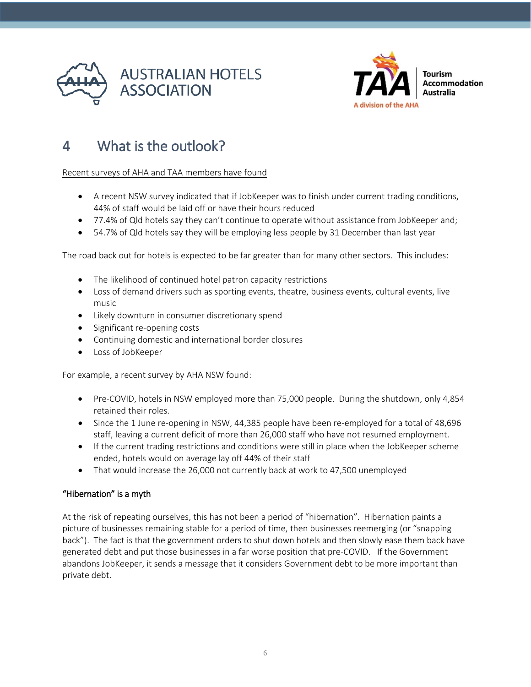



# 4 What is the outlook?

#### Recent surveys of AHA and TAA members have found

- A recent NSW survey indicated that if JobKeeper was to finish under current trading conditions, 44% of staff would be laid off or have their hours reduced
- 77.4% of Qld hotels say they can't continue to operate without assistance from JobKeeper and;
- 54.7% of Qld hotels say they will be employing less people by 31 December than last year

The road back out for hotels is expected to be far greater than for many other sectors. This includes:

- The likelihood of continued hotel patron capacity restrictions
- Loss of demand drivers such as sporting events, theatre, business events, cultural events, live music
- Likely downturn in consumer discretionary spend
- Significant re-opening costs
- Continuing domestic and international border closures
- Loss of JobKeeper

For example, a recent survey by AHA NSW found:

- Pre-COVID, hotels in NSW employed more than 75,000 people. During the shutdown, only 4,854 retained their roles.
- Since the 1 June re-opening in NSW, 44,385 people have been re-employed for a total of 48,696 staff, leaving a current deficit of more than 26,000 staff who have not resumed employment.
- If the current trading restrictions and conditions were still in place when the JobKeeper scheme ended, hotels would on average lay off 44% of their staff
- That would increase the 26,000 not currently back at work to 47,500 unemployed

#### "Hibernation" is a myth

At the risk of repeating ourselves, this has not been a period of "hibernation". Hibernation paints a picture of businesses remaining stable for a period of time, then businesses reemerging (or "snapping back"). The fact is that the government orders to shut down hotels and then slowly ease them back have generated debt and put those businesses in a far worse position that pre-COVID. If the Government abandons JobKeeper, it sends a message that it considers Government debt to be more important than private debt.